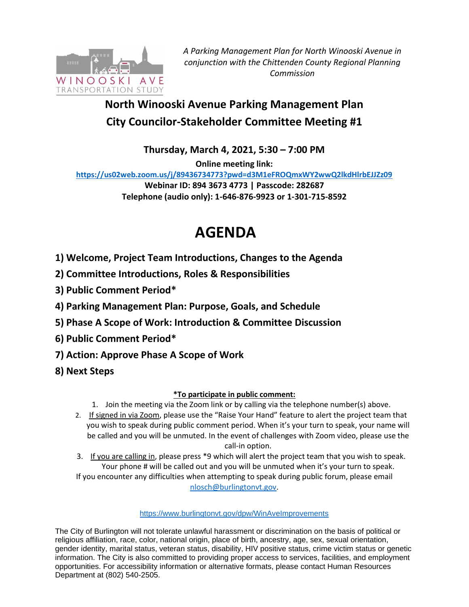

*A Parking Management Plan for North Winooski Avenue in conjunction with the Chittenden County Regional Planning Commission*

# **North Winooski Avenue Parking Management Plan City Councilor-Stakeholder Committee Meeting #1**

**Thursday, March 4, 2021, 5:30 – 7:00 PM**

**Online meeting link:** 

**<https://us02web.zoom.us/j/89436734773?pwd=d3M1eFROQmxWY2wwQ2lkdHlrbEJJZz09> Webinar ID: 894 3673 4773 | Passcode: 282687 Telephone (audio only): 1-646-876-9923 or 1-301-715-8592** 

# **AGENDA**

- **1) Welcome, Project Team Introductions, Changes to the Agenda**
- **2) Committee Introductions, Roles & Responsibilities**
- **3) Public Comment Period\***
- **4) Parking Management Plan: Purpose, Goals, and Schedule**
- **5) Phase A Scope of Work: Introduction & Committee Discussion**
- **6) Public Comment Period\***
- **7) Action: Approve Phase A Scope of Work**
- **8) Next Steps**

## **\*To participate in public comment:**

- 1. Join the meeting via the Zoom link or by calling via the telephone number(s) above.
- 2. If signed in via Zoom, please use the "Raise Your Hand" feature to alert the project team that you wish to speak during public comment period. When it's your turn to speak, your name will be called and you will be unmuted. In the event of challenges with Zoom video, please use the call-in option.
- 3. If you are calling in, please press \*9 which will alert the project team that you wish to speak. Your phone # will be called out and you will be unmuted when it's your turn to speak. If you encounter any difficulties when attempting to speak during public forum, please email [nlosch@burlingtonvt.gov.](mailto:nlosch@burlingtonvt.gov)

### <https://www.burlingtonvt.gov/dpw/WinAveImprovements>

The City of Burlington will not tolerate unlawful harassment or discrimination on the basis of political or religious affiliation, race, color, national origin, place of birth, ancestry, age, sex, sexual orientation, gender identity, marital status, veteran status, disability, HIV positive status, crime victim status or genetic information. The City is also committed to providing proper access to services, facilities, and employment opportunities. For accessibility information or alternative formats, please contact Human Resources Department at (802) 540-2505.